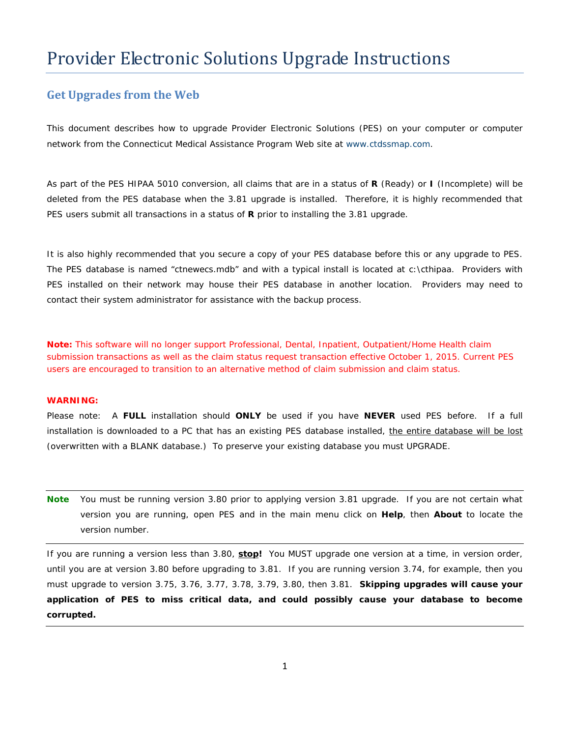# Provider Electronic Solutions Upgrade Instructions

#### **Get Upgrades from the Web**

This document describes how to upgrade Provider Electronic Solutions (PES) on your computer or computer network from the Connecticut Medical Assistance Program Web site at [www.ctdssmap.com.](http://www.ctdssmap.com/)

As part of the PES HIPAA 5010 conversion, all claims that are in a status of **R** (Ready) or **I** (Incomplete) will be deleted from the PES database when the 3.81 upgrade is installed. Therefore, it is highly recommended that PES users submit all transactions in a status of **R** prior to installing the 3.81 upgrade.

It is also highly recommended that you secure a copy of your PES database before this or any upgrade to PES. The PES database is named "ctnewecs.mdb" and with a typical install is located at c:\cthipaa. Providers with PES installed on their network may house their PES database in another location. Providers may need to contact their system administrator for assistance with the backup process.

*Note: This software will no longer support Professional, Dental, Inpatient, Outpatient/Home Health claim submission transactions as well as the claim status request transaction effective October 1, 2015. Current PES users are encouraged to transition to an alternative method of claim submission and claim status.*

#### **WARNING:**

Please note: A **FULL** installation should **ONLY** be used if you have **NEVER** used PES before. If a full installation is downloaded to a PC that has an existing PES database installed, the entire database will be lost (overwritten with a BLANK database.) To preserve your existing database you must UPGRADE.

**Note** You must be running version 3.80 prior to applying version 3.81 upgrade. If you are not certain what version you are running, open PES and in the main menu click on **Help**, then **About** to locate the version number.

If you are running a version less than 3.80, **stop!** You MUST upgrade one version at a time, in version order, until you are at version 3.80 before upgrading to 3.81. If you are running version 3.74, for example, then you must upgrade to version 3.75, 3.76, 3.77, 3.78, 3.79, 3.80, then 3.81. **Skipping upgrades will cause your application of PES to miss critical data, and could possibly cause your database to become corrupted.**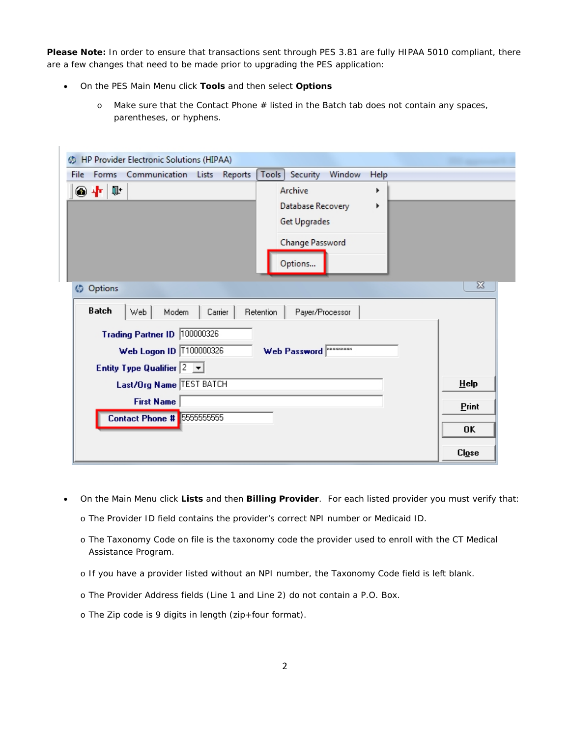**Please Note:** In order to ensure that transactions sent through PES 3.81 are fully HIPAA 5010 compliant, there are a few changes that need to be made prior to upgrading the PES application:

- On the PES *Main Menu* click **Tools** and then select **Options**
	- o Make sure that the *Contact Phone #* listed in the *Batch* tab does not contain any spaces, parentheses, or hyphens.

| HP Provider Electronic Solutions (HIPAA)                                                                                            |                                                                                             |              |
|-------------------------------------------------------------------------------------------------------------------------------------|---------------------------------------------------------------------------------------------|--------------|
| Forms Communication Lists<br>Reports<br>File                                                                                        | <b>Tools</b><br>Security<br>Window<br>Help                                                  |              |
| ◉╋ୀ                                                                                                                                 | Archive<br>r<br>Database Recovery<br>Þ<br><b>Get Upgrades</b><br>Change Password<br>Options |              |
| <b>D</b> Options<br><b>Batch</b><br>Web<br>Modem<br>Carrier                                                                         | <b>Retention</b><br>Payer/Processor                                                         | X            |
| Trading Partner ID 100000326<br>Web Logon ID   T100000326<br>Entity Type Qualifier $\begin{bmatrix} 2 & \blacksquare \end{bmatrix}$ | Web Password XXXXXXXX                                                                       |              |
| Last/Org Name TEST BATCH                                                                                                            |                                                                                             | HeIp         |
| <b>First Name</b><br>Contact Phone # 5555555555                                                                                     |                                                                                             | Print        |
|                                                                                                                                     |                                                                                             | 0K           |
|                                                                                                                                     |                                                                                             | <b>Close</b> |

- On the *Main Menu* click **Lists** and then **Billing Provider**. For each listed provider you must verify that:
	- o The *Provider ID* field contains the provider's correct NPI number or Medicaid ID.
	- o The *Taxonomy Code* on file is the taxonomy code the provider used to enroll with the CT Medical Assistance Program.
	- o If you have a provider listed without an NPI number, the *Taxonomy Code* field is left blank.
	- o The *Provider Address* fields (*Line* 1 and *Line* 2) do not contain a P.O. Box.
	- o The *Zip* code is 9 digits in length (zip+four format).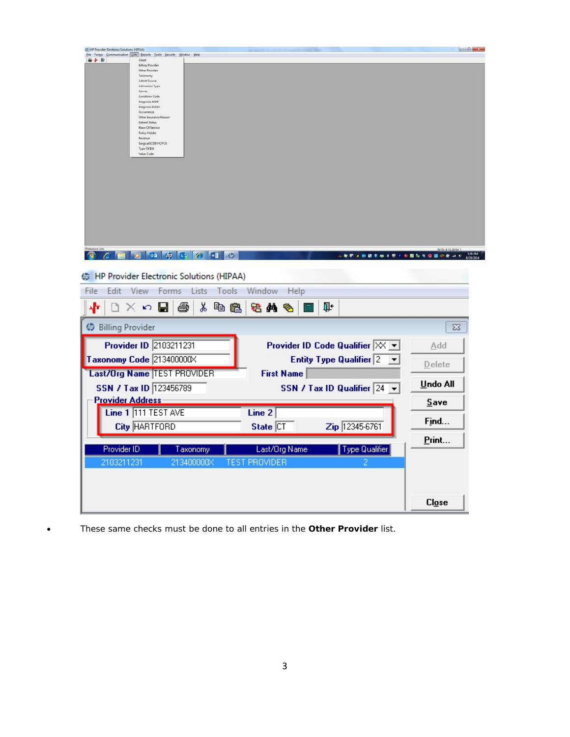| C HP Provider Electronic Solutions (HPAA)                                             | <b>CONTROL MACRAIN</b> |
|---------------------------------------------------------------------------------------|------------------------|
| Elle Forms Communication Lists Beports Tools Security Window Help<br>● 中 新<br>Client  |                        |
| <b>Biling Provider</b>                                                                |                        |
| Other Provider<br>Taxonomy                                                            |                        |
| Admit Source<br><b>Admission Type</b>                                                 |                        |
| Carrier                                                                               |                        |
| <b>Condition Code</b><br>Diagnosis ICD9                                               |                        |
| Diagnosis ICD10                                                                       |                        |
| Occurrence<br>Other Insurance Reason                                                  |                        |
| Patient Status                                                                        |                        |
| <b>Place Of Service</b><br>Policy Holder                                              |                        |
| Revenue                                                                               |                        |
| Surgical ICD9/HCPCS<br>Type Of Bill                                                   |                        |
| Value Code                                                                            |                        |
|                                                                                       |                        |
|                                                                                       |                        |
|                                                                                       |                        |
|                                                                                       |                        |
|                                                                                       |                        |
|                                                                                       |                        |
|                                                                                       |                        |
|                                                                                       |                        |
|                                                                                       |                        |
|                                                                                       |                        |
| Reference Lists                                                                       | 81914152654            |
| $\circ$ 5 $\pi$ to $\theta$ will<br>$\varphi$<br>人のでもの話をゆえてきの言葉などの話のあった<br>œ<br>c.    | 1:26 PM                |
|                                                                                       |                        |
| <b>B</b> HP Provider Electronic Solutions (HIPAA)                                     |                        |
|                                                                                       |                        |
| Edit<br>View<br>Forms Lists<br>Tools<br>Window<br>File<br>Help                        |                        |
|                                                                                       |                        |
| ‰<br>ê<br>电色<br>Ţŀ.<br>ဟ မုု<br>老角<br>4F<br>I٦<br>x.<br>哈                             |                        |
|                                                                                       |                        |
| <b>Billing Provider</b>                                                               | $\boxtimes$            |
|                                                                                       |                        |
| Provider ID 2103211231<br>Provider ID Code Qualifier $\boxtimes$ $\blacktriangledown$ | Add                    |
|                                                                                       |                        |
| Taxonomy Code 213400000X<br>Entity Type Qualifier $\sqrt{2}$<br>▼                     | Delete                 |
| Last/Org Name TEST PROVIDER<br><b>First Name</b>                                      |                        |
|                                                                                       |                        |
| SSN / Tax ID 123456789<br>SSN / Tax ID Qualifier $\boxed{24}$ $\blacktriangleright$   | Undo All               |
|                                                                                       |                        |
| <b>Provider Address</b>                                                               | Save                   |
| Line 1 111 TEST AVE<br>Line 2                                                         |                        |
|                                                                                       | Find                   |
| State CT<br><b>City HARTFORD</b><br>Zip 12345-6761                                    |                        |
|                                                                                       | Print                  |
|                                                                                       |                        |
| Provider ID<br>Last/Org Name<br>Type Qualifier<br>Taxonomy                            |                        |
| 2103211231<br>213400000X<br><b>TEST PROVIDER</b><br>2                                 |                        |
|                                                                                       |                        |
|                                                                                       |                        |
|                                                                                       |                        |
|                                                                                       |                        |
|                                                                                       | C <i>log</i>           |
|                                                                                       |                        |

• These same checks must be done to all entries in the **Other Provider** list.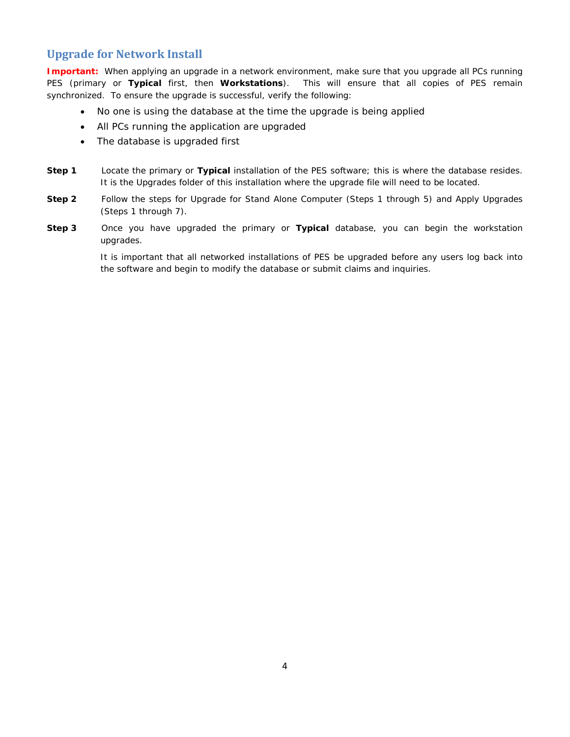#### **Upgrade for Network Install**

**Important:** When applying an upgrade in a network environment, make sure that you upgrade all PCs running PES (primary or **Typical** first, then **Workstations**). This will ensure that all copies of PES remain synchronized. To ensure the upgrade is successful, verify the following:

- No one is using the database at the time the upgrade is being applied
- All PCs running the application are upgraded
- The database is upgraded first
- **Step 1** Locate the primary or **Typical** installation of the PES software; this is where the database resides. It is the *Upgrades* folder of this installation where the upgrade file will need to be located.
- **Step 2** Follow the steps for *Upgrade for Stand Alone Computer* (Steps 1 through 5) and *Apply Upgrades* (Steps 1 through 7).
- **Step 3** Once you have upgraded the primary or **Typical** database, you can begin the workstation upgrades.

It is important that *all* networked installations of PES be upgraded before any users log back into the software and begin to modify the database or submit claims and inquiries.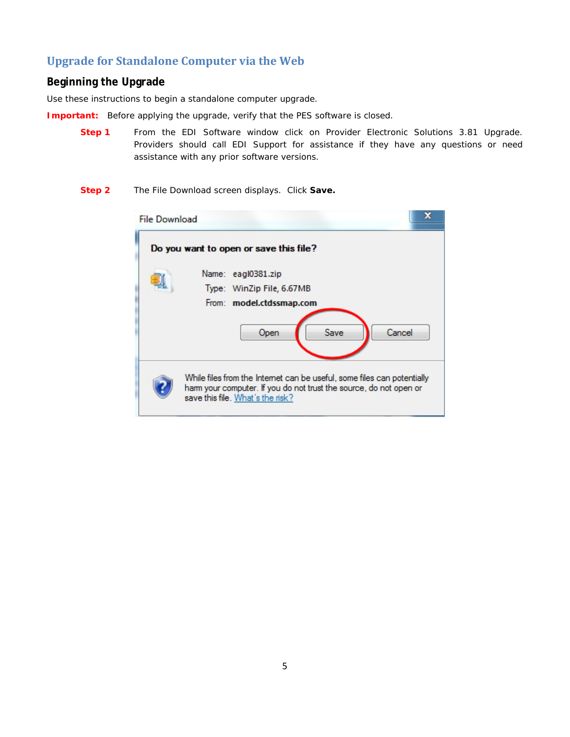## **Upgrade for Standalone Computer via the Web**

#### **Beginning the Upgrade**

Use these instructions to begin a standalone computer upgrade.

**Important:** Before applying the upgrade, verify that the PES software is closed.

- **Step 1** From the EDI Software window click on Provider Electronic Solutions 3.81 Upgrade. Providers should call EDI Support for assistance if they have any questions or need assistance with any prior software versions.
- **Step 2** The File Download screen displays. Click **Save.**

| <b>File Download</b> |                                                                                                                                                                                  | x |
|----------------------|----------------------------------------------------------------------------------------------------------------------------------------------------------------------------------|---|
|                      | Do you want to open or save this file?                                                                                                                                           |   |
|                      | Name: eagl0381.zip<br>Type: WinZip File, 6.67MB                                                                                                                                  |   |
|                      | From: model.ctdssmap.com                                                                                                                                                         |   |
|                      | Cancel<br>Save<br>Open                                                                                                                                                           |   |
|                      | While files from the Internet can be useful, some files can potentially<br>ham your computer. If you do not trust the source, do not open or<br>save this file. What's the risk? |   |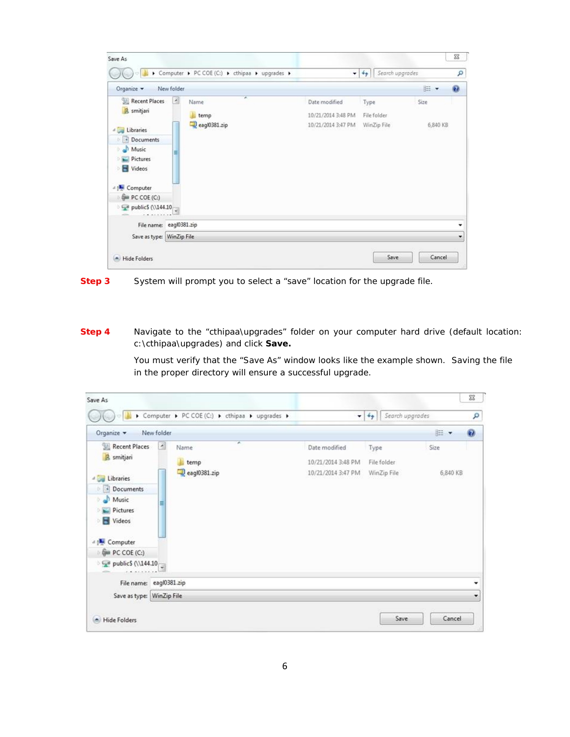| Save As                                                                                                                                                                                                 |                               |                                                 |                                                           |                                    |                  | 83           |
|---------------------------------------------------------------------------------------------------------------------------------------------------------------------------------------------------------|-------------------------------|-------------------------------------------------|-----------------------------------------------------------|------------------------------------|------------------|--------------|
|                                                                                                                                                                                                         |                               | ▶ Computer ▶ PC COE (C:) ▶ cthipaa ▶ upgrades ▶ |                                                           | Search upgrades<br>$-44$           |                  | ٩            |
| Organize v                                                                                                                                                                                              | New folder                    |                                                 |                                                           |                                    | <b>IE +</b>      | $\mathbf{Q}$ |
| Recent Places<br><b>B</b> smitjari<br><b>Libraries</b><br>· Documents<br>Music<br><b>Pictures</b><br>Videos<br>ы<br><b>Computer</b><br>Cia PC COE (C:)<br>$\rightarrow$ publics (\\144.10 $\rightarrow$ | $\overline{\phantom{a}}$<br>Ħ | ×<br>Name<br>temp<br>$=$ eagl $0381$ .zip       | Date modified<br>10/21/2014 3:48 PM<br>10/21/2014 3:47 PM | Type<br>File folder<br>WinZip File | Size<br>6,840 KB |              |
| File name: eagl0381.zip                                                                                                                                                                                 |                               |                                                 |                                                           |                                    |                  | ٠            |
| Save as type: WinZip File                                                                                                                                                                               |                               |                                                 |                                                           |                                    |                  | ۰            |
| <b>Hide Folders</b>                                                                                                                                                                                     |                               |                                                 |                                                           | Save                               | Cancel           |              |



**Step 4** Navigate to the "cthipaa\upgrades" folder on your computer hard drive (default location: c:\cthipaa\upgrades) and click **Save.**

> You must verify that the "*Save As"* window looks like the example shown. Saving the file in the proper directory will ensure a successful upgrade.

|                                                                                                                                                                                                |                 | Computer > PC COE (C:) > cthipaa > upgrades > | ▾                                                         | $4+$<br>Search upgrades            |                  | ۹                |
|------------------------------------------------------------------------------------------------------------------------------------------------------------------------------------------------|-----------------|-----------------------------------------------|-----------------------------------------------------------|------------------------------------|------------------|------------------|
| Organize v                                                                                                                                                                                     | New folder      |                                               |                                                           |                                    | <b>旧 ▼</b>       | $\boldsymbol{a}$ |
| Recent Places<br><b>B</b> smitjari<br>Libraries<br>· Documents<br>Music<br><b>Pictures</b><br>Videos<br><b>AN Computer</b><br>Gia PC COE (C:)<br>$\rightarrow$ publics (\\144.10 $\rightarrow$ | $\epsilon$<br>Ħ | ×<br>Name<br>temp<br>eagl0381.zip             | Date modified<br>10/21/2014 3:48 PM<br>10/21/2014 3:47 PM | Type<br>File folder<br>WinZip File | Size<br>6,840 KB |                  |
| File name: eagl0381.zip                                                                                                                                                                        |                 |                                               |                                                           |                                    |                  | ٠                |
| Save as type: WinZip File                                                                                                                                                                      |                 |                                               |                                                           |                                    |                  | ۰                |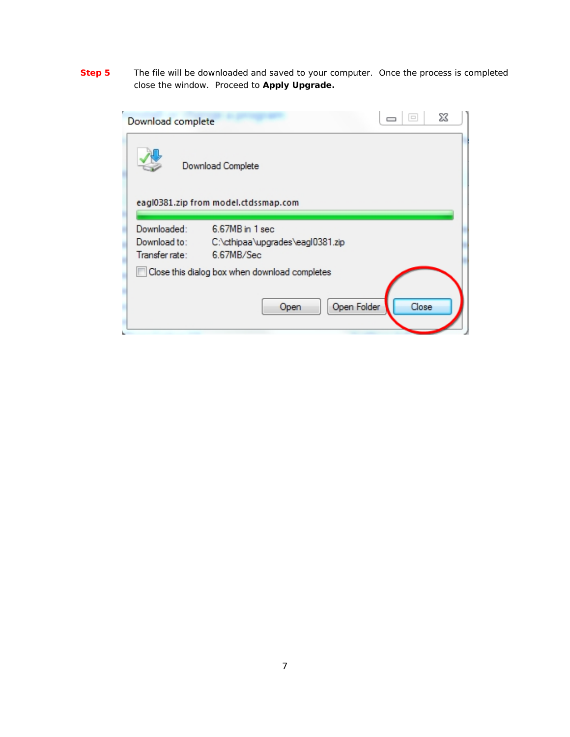**Step 5** The file will be downloaded and saved to your computer. Once the process is completed close the window. Proceed to **Apply Upgrade.**

| X<br>$\qquad \qquad \Box$<br>Download complete                                                                     |  |
|--------------------------------------------------------------------------------------------------------------------|--|
| Download Complete                                                                                                  |  |
| eagl0381.zip from model.ctdssmap.com                                                                               |  |
| Downloaded:<br>6.67MB in 1 sec<br>Download to:<br>C:\cthipaa\upgrades\eagl0381.zip<br>Transfer rate:<br>6.67MB/Sec |  |
| Close this dialog box when download completes                                                                      |  |
| Open Folder<br>Close<br>Open                                                                                       |  |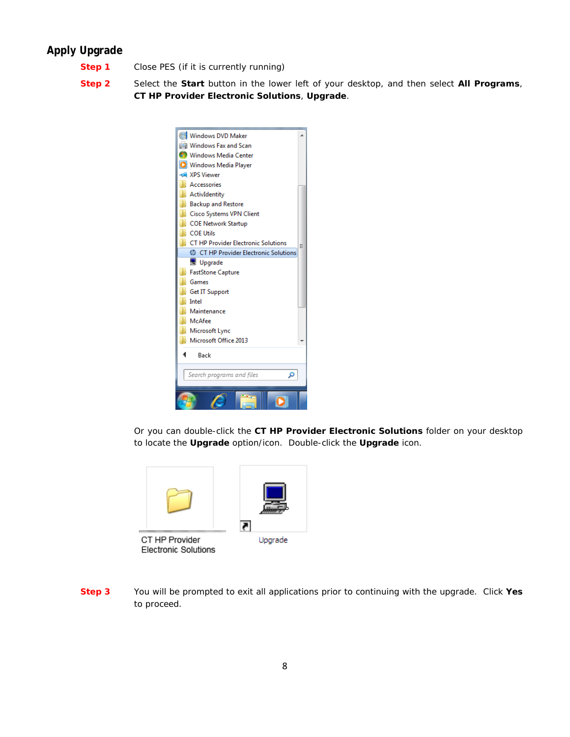### **Apply Upgrade**

- **Step 1** Close PES (if it is currently running)
- **Step 2** Select the **Start** button in the lower left of your desktop, and then select **All Programs**, **CT HP Provider Electronic Solutions**, **Upgrade**.



Or you can double-click the **CT HP Provider Electronic Solutions** folder on your desktop to locate the **Upgrade** option/icon. Double-click the **Upgrade** icon.



**Electronic Solutions** 

**Step 3** You will be prompted to exit all applications prior to continuing with the upgrade. Click **Yes**  to proceed.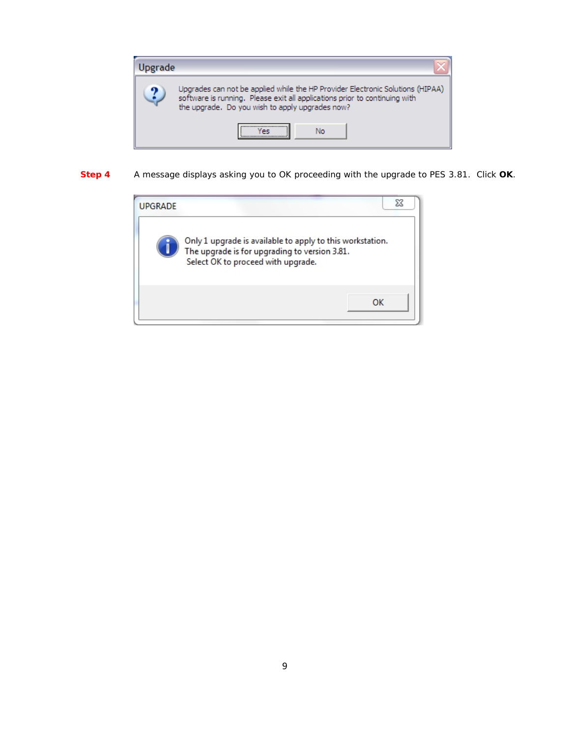

**Step 4** A message displays asking you to OK proceeding with the upgrade to PES 3.81. Click **OK**.

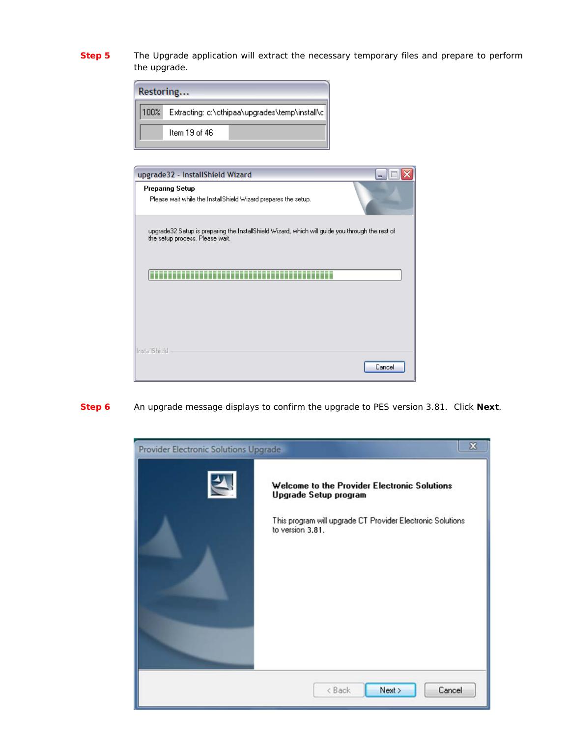**Step 5** The *Upgrade* application will extract the necessary temporary files and prepare to perform the upgrade.

| Restoring |                                                |  |  |
|-----------|------------------------------------------------|--|--|
| $100\%$   | Extracting: c:\cthipaa\upgrades\temp\install\c |  |  |
|           | ltem 19 of 46                                  |  |  |

| upgrade32 - InstallShield Wizard                                                                                                   |
|------------------------------------------------------------------------------------------------------------------------------------|
| Preparing Setup<br>Please wait while the InstallShield Wizard prepares the setup.                                                  |
| upgrade32 Setup is preparing the InstallShield Wizard, which will guide you through the rest of<br>the setup process. Please wait. |
|                                                                                                                                    |
| InstallShield<br>Cancel                                                                                                            |

**Step 6** An upgrade message displays to confirm the upgrade to PES version 3.81. Click **Next**.